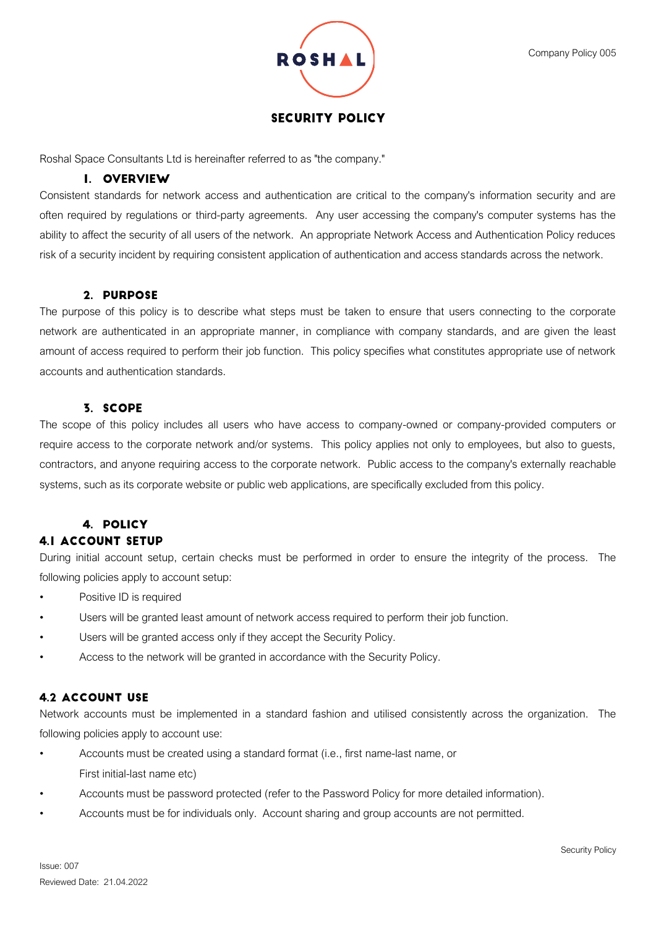

# **SECURITY POLICY**

Roshal Space Consultants Ltd is hereinafter referred to as "the company."

## I. OVERVIEW

Consistent standards for network access and authentication are critical to the company's information security and are often required by regulations or third-party agreements. Any user accessing the company's computer systems has the ability to affect the security of all users of the network. An appropriate Network Access and Authentication Policy reduces risk of a security incident by requiring consistent application of authentication and access standards across the network.

### 2. PURPOSE

The purpose of this policy is to describe what steps must be taken to ensure that users connecting to the corporate network are authenticated in an appropriate manner, in compliance with company standards, and are given the least amount of access required to perform their job function. This policy specifies what constitutes appropriate use of network accounts and authentication standards.

## 3. SCOPE

The scope of this policy includes all users who have access to company-owned or company-provided computers or require access to the corporate network and/or systems. This policy applies not only to employees, but also to guests, contractors, and anyone requiring access to the corporate network. Public access to the company's externally reachable systems, such as its corporate website or public web applications, are specifically excluded from this policy.

## 4. POLICY **4.1 ACCOUNT SETUP**

During initial account setup, certain checks must be performed in order to ensure the integrity of the process. The following policies apply to account setup:

- Positive ID is required
- Users will be granted least amount of network access required to perform their job function.
- Users will be granted access only if they accept the Security Policy.
- Access to the network will be granted in accordance with the Security Policy.

## **4.2 ACCOUNT USE**

Network accounts must be implemented in a standard fashion and utilised consistently across the organization. The following policies apply to account use:

- Accounts must be created using a standard format (i.e., first name-last name, or First initial-last name etc)
- Accounts must be password protected (refer to the Password Policy for more detailed information).
- Accounts must be for individuals only. Account sharing and group accounts are not permitted.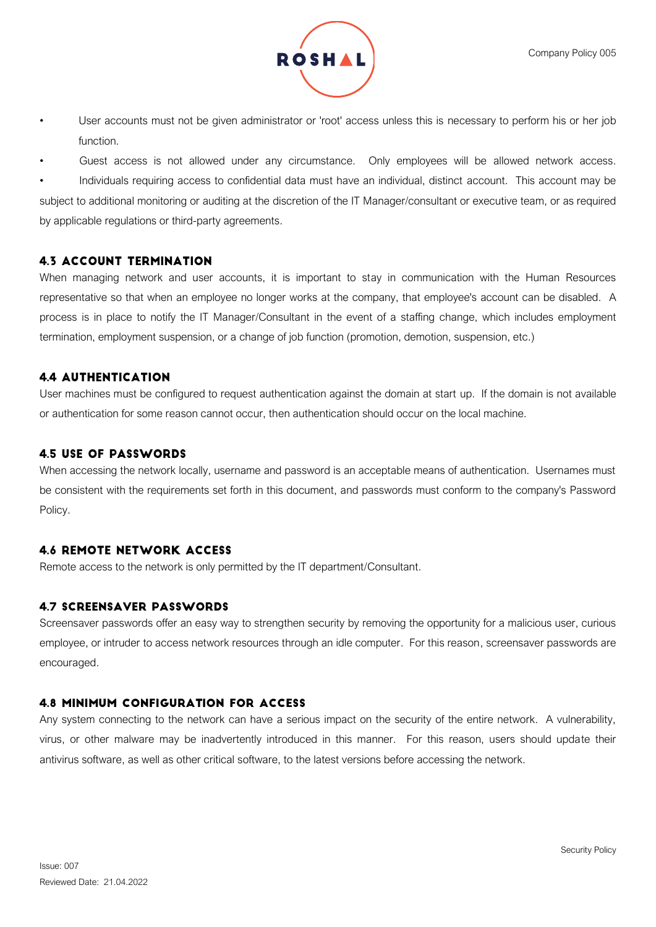

- User accounts must not be given administrator or 'root' access unless this is necessary to perform his or her job function.
- Guest access is not allowed under any circumstance. Only employees will be allowed network access.

• Individuals requiring access to confidential data must have an individual, distinct account. This account may be subject to additional monitoring or auditing at the discretion of the IT Manager/consultant or executive team, or as required by applicable regulations or third-party agreements.

## **4.3 ACCOUNT TERMINATION**

When managing network and user accounts, it is important to stay in communication with the Human Resources representative so that when an employee no longer works at the company, that employee's account can be disabled. A process is in place to notify the IT Manager/Consultant in the event of a staffing change, which includes employment termination, employment suspension, or a change of job function (promotion, demotion, suspension, etc.)

## **4.4 AUTHENTICATION**

User machines must be configured to request authentication against the domain at start up. If the domain is not available or authentication for some reason cannot occur, then authentication should occur on the local machine.

## **4.5 USE OF PASSWORDS**

When accessing the network locally, username and password is an acceptable means of authentication. Usernames must be consistent with the requirements set forth in this document, and passwords must conform to the company's Password Policy.

# **4.6 REMOTE NETWORK ACCESS**

Remote access to the network is only permitted by the IT department/Consultant.

## **4.7 SCREENSAVER PASSWORDS**

Screensaver passwords offer an easy way to strengthen security by removing the opportunity for a malicious user, curious employee, or intruder to access network resources through an idle computer. For this reason, screensaver passwords are encouraged.

## **4.8 MINIMUM CONFIGURATION FOR ACCESS**

Any system connecting to the network can have a serious impact on the security of the entire network. A vulnerability, virus, or other malware may be inadvertently introduced in this manner. For this reason, users should update their antivirus software, as well as other critical software, to the latest versions before accessing the network.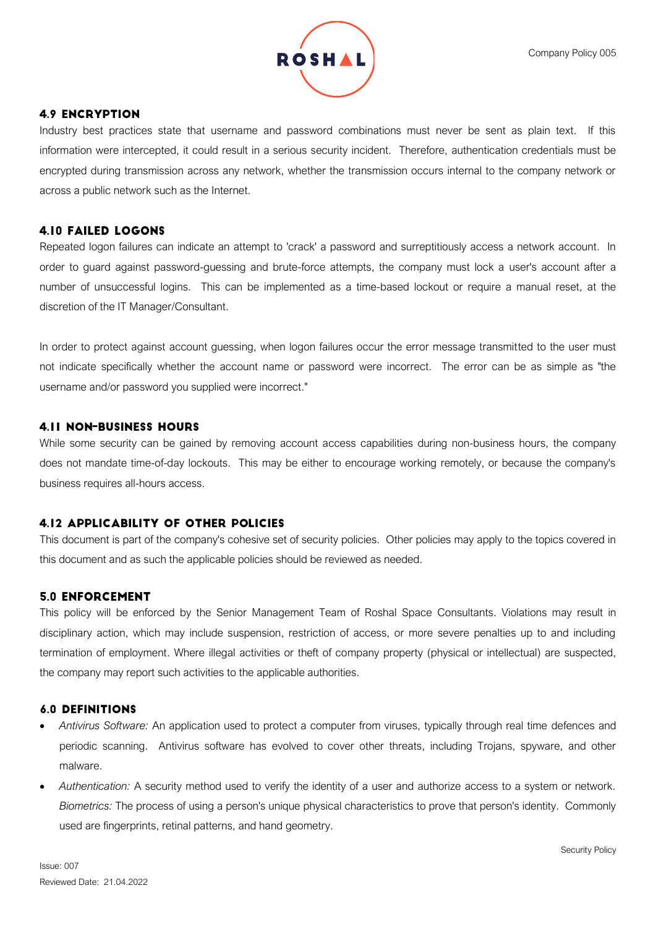

### **4.9 ENCRYPTION**

Industry best practices state that username and password combinations must never be sent as plain text. If this information were intercepted, it could result in a serious security incident. Therefore, authentication credentials must be encrypted during transmission across any network, whether the transmission occurs internal to the company network or across a public network such as the Internet.

### **4.10 FAILED LOGONS**

Repeated logon failures can indicate an attempt to 'crack' a password and surreptitiously access a network account. In order to guard against password-guessing and brute-force attempts, the company must lock a user's account after a number of unsuccessful logins. This can be implemented as a time-based lockout or require a manual reset, at the discretion of the IT Manager/Consultant.

In order to protect against account guessing, when logon failures occur the error message transmitted to the user must not indicate specifically whether the account name or password were incorrect. The error can be as simple as "the username and/or password you supplied were incorrect."

#### **4.11 NON-BUSINESS HOURS**

While some security can be gained by removing account access capabilities during non-business hours, the company does not mandate time-of-day lockouts. This may be either to encourage working remotely, or because the company's business requires all-hours access.

### **4.12 APPLICABILITY OF OTHER POLICIES**

This document is part of the company's cohesive set of security policies. Other policies may apply to the topics covered in this document and as such the applicable policies should be reviewed as needed.

### **5.0 ENFORCEMENT**

This policy will be enforced by the Senior Management Team of Roshal Space Consultants. Violations may result in disciplinary action, which may include suspension, restriction of access, or more severe penalties up to and including termination of employment. Where illegal activities or theft of company property (physical or intellectual) are suspected, the company may report such activities to the applicable authorities.

#### **6.0 DEFINITIONS**

- *Antivirus Software:* An application used to protect a computer from viruses, typically through real time defences and periodic scanning. Antivirus software has evolved to cover other threats, including Trojans, spyware, and other malware.
- *Authentication:* A security method used to verify the identity of a user and authorize access to a system or network. *Biometrics:* The process of using a person's unique physical characteristics to prove that person's identity. Commonly used are fingerprints, retinal patterns, and hand geometry.